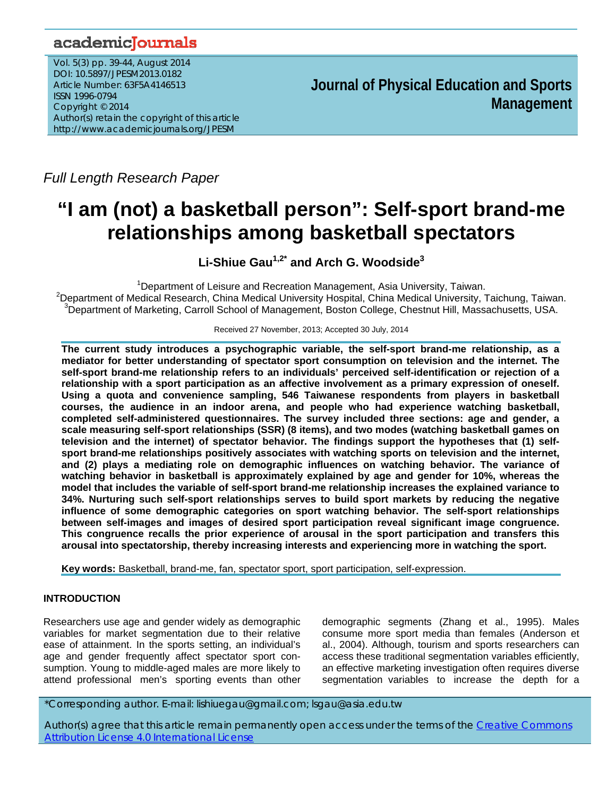# academicJournals

Vol. 5(3) pp. 39-44, August 2014 DOI: 10.5897/JPESM2013.0182 Article Number: 63F5A4146513 ISSN 1996-0794 Copyright © 2014 Author(s) retain the copyright of this article http://www.academicjournals.org/JPESM

**Journal of Physical Education and Sports Management**

*Full Length Research Paper*

# **"I am (not) a basketball person": Self-sport brand-me relationships among basketball spectators**

**Li-Shiue Gau1,2\* and Arch G. Woodside3**

<sup>1</sup> Department of Leisure and Recreation Management, Asia University, Taiwan.<br><sup>2</sup> Department of Modical Bessersh, China Modical University Hespital, China Modical University <sup>2</sup>Department of Medical Research, China Medical University Hospital, China Medical University, Taichung, Taiwan. <sup>3</sup>Department of Marketing, Carroll School of Management, Boston College, Chestnut Hill, Massachusetts, USA.

Received 27 November, 2013; Accepted 30 July, 2014

**The current study introduces a psychographic variable, the self-sport brand-me relationship, as a mediator for better understanding of spectator sport consumption on television and the internet. The self-sport brand-me relationship refers to an individuals' perceived self-identification or rejection of a relationship with a sport participation as an affective involvement as a primary expression of oneself. Using a quota and convenience sampling, 546 Taiwanese respondents from players in basketball courses, the audience in an indoor arena, and people who had experience watching basketball, completed self-administered questionnaires. The survey included three sections: age and gender, a scale measuring self-sport relationships (SSR) (8 items), and two modes (watching basketball games on television and the internet) of spectator behavior. The findings support the hypotheses that (1) selfsport brand-me relationships positively associates with watching sports on television and the internet, and (2) plays a mediating role on demographic influences on watching behavior. The variance of watching behavior in basketball is approximately explained by age and gender for 10%, whereas the model that includes the variable of self-sport brand-me relationship increases the explained variance to 34%. Nurturing such self-sport relationships serves to build sport markets by reducing the negative influence of some demographic categories on sport watching behavior. The self-sport relationships between self-images and images of desired sport participation reveal significant image congruence. This congruence recalls the prior experience of arousal in the sport participation and transfers this arousal into spectatorship, thereby increasing interests and experiencing more in watching the sport.** 

**Key words:** Basketball, brand-me, fan, spectator sport, sport participation, self-expression.

# **INTRODUCTION**

Researchers use age and gender widely as demographic variables for market segmentation due to their relative ease of attainment. In the sports setting, an individual's age and gender frequently affect spectator sport consumption. Young to middle-aged males are more likely to attend professional men's sporting events than other

demographic segments (Zhang et al., 1995). Males consume more sport media than females (Anderson et al., 2004). Although, tourism and sports researchers can access these traditional segmentation variables efficiently, an effective marketing investigation often requires diverse segmentation variables to increase the depth for a

\*Corresponding author. E-mail: lishiuegau@gmail.com; lsgau@asia.edu.tw

Author(s) agree that this article remain permanently open access under the terms of the Creative Commons Attribution License 4.0 International License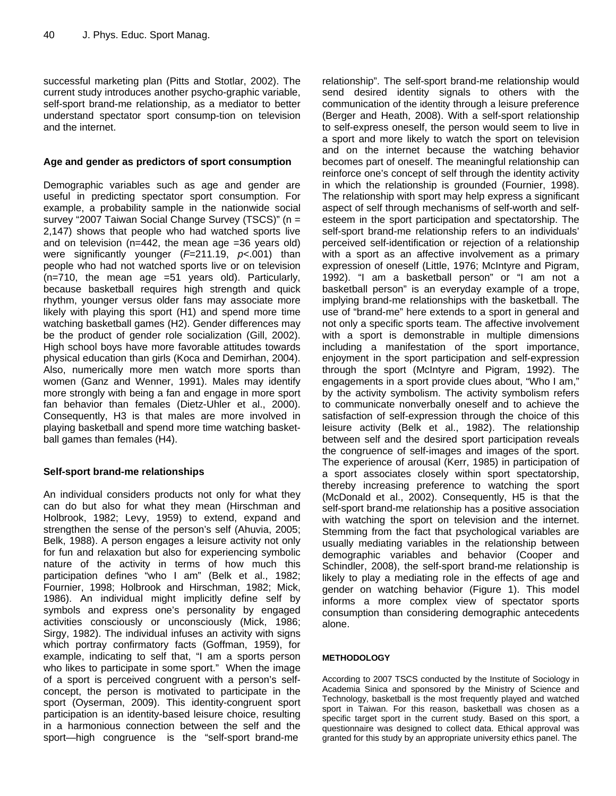successful marketing plan (Pitts and Stotlar, 2002). The current study introduces another psycho-graphic variable, self-sport brand-me relationship, as a mediator to better understand spectator sport consump-tion on television and the internet.

## **Age and gender as predictors of sport consumption**

Demographic variables such as age and gender are useful in predicting spectator sport consumption. For example, a probability sample in the nationwide social survey "2007 Taiwan Social Change Survey (TSCS)" (n = 2,147) shows that people who had watched sports live and on television (n=442, the mean age =36 years old) were significantly younger (*F*=211.19, *p*<.001) than people who had not watched sports live or on television (n=710, the mean age =51 years old). Particularly, because basketball requires high strength and quick rhythm, younger versus older fans may associate more likely with playing this sport (H1) and spend more time watching basketball games (H2). Gender differences may be the product of gender role socialization (Gill, 2002). High school boys have more favorable attitudes towards physical education than girls (Koca and Demirhan, 2004). Also, numerically more men watch more sports than women (Ganz and Wenner, 1991). Males may identify more strongly with being a fan and engage in more sport fan behavior than females (Dietz-Uhler et al., 2000). Consequently, H3 is that males are more involved in playing basketball and spend more time watching basketball games than females (H4).

# **Self-sport brand-me relationships**

An individual considers products not only for what they can do but also for what they mean (Hirschman and Holbrook, 1982; Levy, 1959) to extend, expand and strengthen the sense of the person's self (Ahuvia, 2005; Belk, 1988). A person engages a leisure activity not only for fun and relaxation but also for experiencing symbolic nature of the activity in terms of how much this participation defines "who I am" (Belk et al., 1982; Fournier, 1998; Holbrook and Hirschman, 1982; Mick, 1986). An individual might implicitly define self by symbols and express one's personality by engaged activities consciously or unconsciously (Mick, 1986; Sirgy, 1982). The individual infuses an activity with signs which portray confirmatory facts (Goffman, 1959), for example, indicating to self that, "I am a sports person who likes to participate in some sport." When the image of a sport is perceived congruent with a person's selfconcept, the person is motivated to participate in the sport (Oyserman, 2009). This identity-congruent sport participation is an identity-based leisure choice, resulting in a harmonious connection between the self and the sport—high congruence is the "self-sport brand-me

relationship". The self-sport brand-me relationship would send desired identity signals to others with the communication of the identity through a leisure preference (Berger and Heath, 2008). With a self-sport relationship to self-express oneself, the person would seem to live in a sport and more likely to watch the sport on television and on the internet because the watching behavior becomes part of oneself. The meaningful relationship can reinforce one's concept of self through the identity activity in which the relationship is grounded (Fournier, 1998). The relationship with sport may help express a significant aspect of self through mechanisms of self-worth and selfesteem in the sport participation and spectatorship. The self-sport brand-me relationship refers to an individuals' perceived self-identification or rejection of a relationship with a sport as an affective involvement as a primary expression of oneself (Little, 1976; McIntyre and Pigram, 1992). "I am a basketball person" or "I am not a basketball person" is an everyday example of a trope, implying brand-me relationships with the basketball. The use of "brand-me" here extends to a sport in general and not only a specific sports team. The affective involvement with a sport is demonstrable in multiple dimensions including a manifestation of the sport importance, enjoyment in the sport participation and self-expression through the sport (McIntyre and Pigram, 1992). The engagements in a sport provide clues about, "Who I am," by the activity symbolism. The activity symbolism refers to communicate nonverbally oneself and to achieve the satisfaction of self-expression through the choice of this leisure activity (Belk et al., 1982). The relationship between self and the desired sport participation reveals the congruence of self-images and images of the sport. The experience of arousal (Kerr, 1985) in participation of a sport associates closely within sport spectatorship, thereby increasing preference to watching the sport (McDonald et al., 2002). Consequently, H5 is that the self-sport brand-me relationship has a positive association with watching the sport on television and the internet. Stemming from the fact that psychological variables are usually mediating variables in the relationship between demographic variables and behavior (Cooper and Schindler, 2008), the self-sport brand-me relationship is likely to play a mediating role in the effects of age and gender on watching behavior (Figure 1). This model informs a more complex view of spectator sports consumption than considering demographic antecedents alone.

### **METHODOLOGY**

According to 2007 TSCS conducted by the Institute of Sociology in Academia Sinica and sponsored by the Ministry of Science and Technology, basketball is the most frequently played and watched sport in Taiwan. For this reason, basketball was chosen as a specific target sport in the current study. Based on this sport, a questionnaire was designed to collect data. Ethical approval was granted for this study by an appropriate university ethics panel. The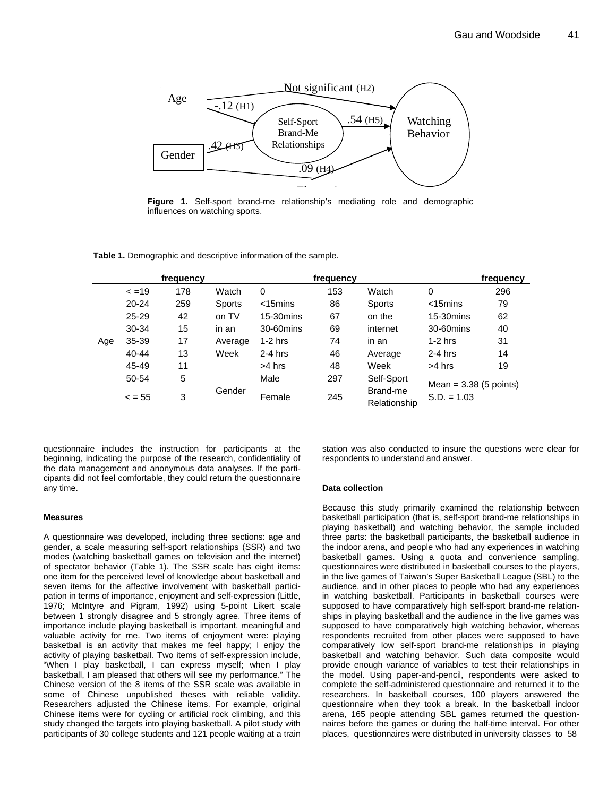

**Figure 1.** Self-sport brand-me relationship's mediating role and demographic influences on watching sports.

**Table 1.** Demographic and descriptive information of the sample.

|     |             | frequency |         |                | frequency |                          |                                           | frequency |
|-----|-------------|-----------|---------|----------------|-----------|--------------------------|-------------------------------------------|-----------|
| Age | $\le$ =19   | 178       | Watch   | $\Omega$       | 153       | Watch                    | 0                                         | 296       |
|     | $20 - 24$   | 259       | Sports  | $<$ 15 $m$ ins | 86        | <b>Sports</b>            | $<$ 15 $m$ ins                            | 79        |
|     | 25-29       | 42        | on TV   | $15-30$ mins   | 67        | on the                   | 15-30 mins                                | 62        |
|     | 30-34       | 15        | in an   | 30-60mins      | 69        | internet                 | 30-60mins                                 | 40        |
|     | 35-39       | 17        | Average | $1-2$ hrs      | 74        | in an                    | $1-2$ hrs                                 | 31        |
|     | 40-44       | 13        | Week    | $2-4$ hrs      | 46        | Average                  | $2-4$ hrs                                 | 14        |
|     | 45-49       | 11        |         | >4 hrs         | 48        | Week                     | $>4$ hrs                                  | 19        |
|     | 50-54       | 5         |         | Male           | 297       | Self-Sport               | Mean = $3.38$ (5 points)<br>$S.D. = 1.03$ |           |
|     | $\leq$ = 55 | 3         | Gender  | Female         | 245       | Brand-me<br>Relationship |                                           |           |

questionnaire includes the instruction for participants at the beginning, indicating the purpose of the research, confidentiality of the data management and anonymous data analyses. If the participants did not feel comfortable, they could return the questionnaire any time.

#### **Measures**

A questionnaire was developed, including three sections: age and gender, a scale measuring self-sport relationships (SSR) and two modes (watching basketball games on television and the internet) of spectator behavior (Table 1). The SSR scale has eight items: one item for the perceived level of knowledge about basketball and seven items for the affective involvement with basketball participation in terms of importance, enjoyment and self-expression (Little, 1976; McIntyre and Pigram, 1992) using 5-point Likert scale between 1 strongly disagree and 5 strongly agree. Three items of importance include playing basketball is important, meaningful and valuable activity for me. Two items of enjoyment were: playing basketball is an activity that makes me feel happy; I enjoy the activity of playing basketball. Two items of self-expression include, "When I play basketball, I can express myself; when I play basketball, I am pleased that others will see my performance." The Chinese version of the 8 items of the SSR scale was available in some of Chinese unpublished theses with reliable validity. Researchers adjusted the Chinese items. For example, original Chinese items were for cycling or artificial rock climbing, and this study changed the targets into playing basketball. A pilot study with participants of 30 college students and 121 people waiting at a train station was also conducted to insure the questions were clear for respondents to understand and answer.

#### **Data collection**

Because this study primarily examined the relationship between basketball participation (that is, self-sport brand-me relationships in playing basketball) and watching behavior, the sample included three parts: the basketball participants, the basketball audience in the indoor arena, and people who had any experiences in watching basketball games. Using a quota and convenience sampling, questionnaires were distributed in basketball courses to the players, in the live games of Taiwan's Super Basketball League (SBL) to the audience, and in other places to people who had any experiences in watching basketball. Participants in basketball courses were supposed to have comparatively high self-sport brand-me relationships in playing basketball and the audience in the live games was supposed to have comparatively high watching behavior, whereas respondents recruited from other places were supposed to have comparatively low self-sport brand-me relationships in playing basketball and watching behavior. Such data composite would provide enough variance of variables to test their relationships in the model. Using paper-and-pencil, respondents were asked to complete the self-administered questionnaire and returned it to the researchers. In basketball courses, 100 players answered the questionnaire when they took a break. In the basketball indoor arena, 165 people attending SBL games returned the questionnaires before the games or during the half-time interval. For other places, questionnaires were distributed in university classes to 58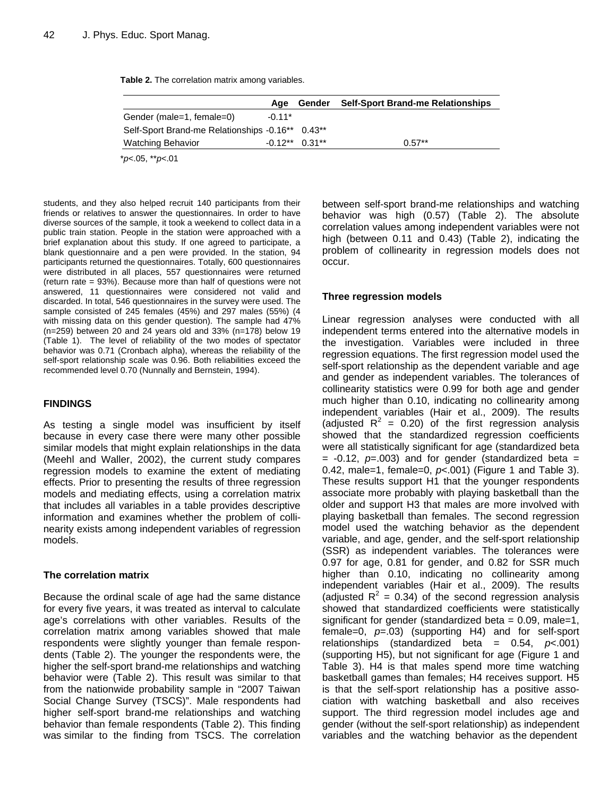|  |  | Table 2. The correlation matrix among variables. |  |  |  |
|--|--|--------------------------------------------------|--|--|--|
|--|--|--------------------------------------------------|--|--|--|

|                                                  | Aae      | Gender           | <b>Self-Sport Brand-me Relationships</b> |
|--------------------------------------------------|----------|------------------|------------------------------------------|
| Gender (male=1, female=0)                        | $-0.11*$ |                  |                                          |
| Self-Sport Brand-me Relationships -0.16** 0.43** |          |                  |                                          |
| <b>Watching Behavior</b>                         |          | $-0.12**$ 0.31** | $0.57**$                                 |

\**p*<.05, \*\**p*<.01

students, and they also helped recruit 140 participants from their friends or relatives to answer the questionnaires. In order to have diverse sources of the sample, it took a weekend to collect data in a public train station. People in the station were approached with a brief explanation about this study. If one agreed to participate, a blank questionnaire and a pen were provided. In the station, 94 participants returned the questionnaires. Totally, 600 questionnaires were distributed in all places, 557 questionnaires were returned (return rate = 93%). Because more than half of questions were not answered, 11 questionnaires were considered not valid and discarded. In total, 546 questionnaires in the survey were used. The sample consisted of 245 females (45%) and 297 males (55%) (4 with missing data on this gender question). The sample had 47% (n=259) between 20 and 24 years old and 33% (n=178) below 19 (Table 1). The level of reliability of the two modes of spectator behavior was 0.71 (Cronbach alpha), whereas the reliability of the self-sport relationship scale was 0.96. Both reliabilities exceed the recommended level 0.70 (Nunnally and Bernstein, 1994).

### **FINDINGS**

As testing a single model was insufficient by itself because in every case there were many other possible similar models that might explain relationships in the data (Meehl and Waller, 2002), the current study compares regression models to examine the extent of mediating effects. Prior to presenting the results of three regression models and mediating effects, using a correlation matrix that includes all variables in a table provides descriptive information and examines whether the problem of collinearity exists among independent variables of regression models.

### **The correlation matrix**

Because the ordinal scale of age had the same distance for every five years, it was treated as interval to calculate age's correlations with other variables. Results of the correlation matrix among variables showed that male respondents were slightly younger than female respondents (Table 2). The younger the respondents were, the higher the self-sport brand-me relationships and watching behavior were (Table 2). This result was similar to that from the nationwide probability sample in "2007 Taiwan Social Change Survey (TSCS)". Male respondents had higher self-sport brand-me relationships and watching behavior than female respondents (Table 2). This finding was similar to the finding from TSCS. The correlation

between self-sport brand-me relationships and watching behavior was high (0.57) (Table 2). The absolute correlation values among independent variables were not high (between 0.11 and 0.43) (Table 2), indicating the problem of collinearity in regression models does not occur.

### **Three regression models**

Linear regression analyses were conducted with all independent terms entered into the alternative models in the investigation. Variables were included in three regression equations. The first regression model used the self-sport relationship as the dependent variable and age and gender as independent variables. The tolerances of collinearity statistics were 0.99 for both age and gender much higher than 0.10, indicating no collinearity among independent variables (Hair et al., 2009). The results (adjusted  $R^2 = 0.20$ ) of the first regression analysis showed that the standardized regression coefficients were all statistically significant for age (standardized beta  $= -0.12$ ,  $p = .003$ ) and for gender (standardized beta  $=$ 0.42, male=1, female=0, *p*<.001) (Figure 1 and Table 3). These results support H1 that the younger respondents associate more probably with playing basketball than the older and support H3 that males are more involved with playing basketball than females. The second regression model used the watching behavior as the dependent variable, and age, gender, and the self-sport relationship (SSR) as independent variables. The tolerances were 0.97 for age, 0.81 for gender, and 0.82 for SSR much higher than 0.10, indicating no collinearity among independent variables (Hair et al., 2009). The results (adjusted  $R^2 = 0.34$ ) of the second regression analysis showed that standardized coefficients were statistically significant for gender (standardized beta  $= 0.09$ , male=1, female=0, *p*=.03) (supporting H4) and for self-sport relationships (standardized beta = 0.54, *p*<.001) (supporting H5), but not significant for age (Figure 1 and Table 3). H4 is that males spend more time watching basketball games than females; H4 receives support. H5 is that the self-sport relationship has a positive association with watching basketball and also receives support. The third regression model includes age and gender (without the self-sport relationship) as independent variables and the watching behavior as the dependent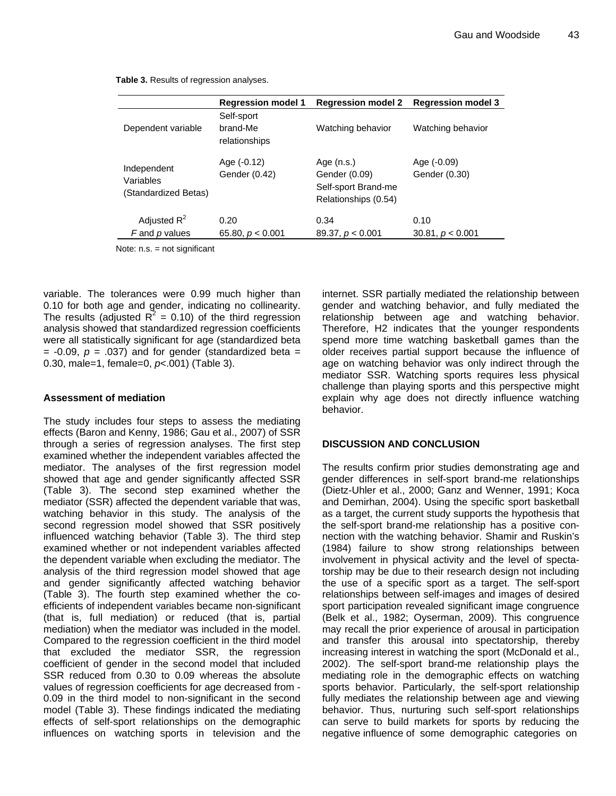**Regression model 1 Regression model 2 Regression model 3**  Dependent variable Self-sport brand-Me relationships Watching behavior Watching behavior Independent Variables (Standardized Betas) Age (-0.12)  $\qquad \qquad$  Age (n.s.)  $\qquad \qquad$  Age (-0.09) Gender (0.42) Gender (0.09) Gender (0.30) Self-sport Brand-me Relationships (0.54) Adjusted  $R^2$  0.20 0.34 0.10  *F* and *p* values 65.80, *p* < 0.001 89.37, *p* < 0.001 30.81, *p* < 0.001

**Table 3.** Results of regression analyses.

Note: n.s. = not significant

variable. The tolerances were 0.99 much higher than 0.10 for both age and gender, indicating no collinearity. The results (adjusted  $R^2 = 0.10$ ) of the third regression analysis showed that standardized regression coefficients were all statistically significant for age (standardized beta  $= -0.09$ ,  $p = .037$ ) and for gender (standardized beta  $=$ 0.30, male=1, female=0, *p*<.001) (Table 3).

#### **Assessment of mediation**

The study includes four steps to assess the mediating effects (Baron and Kenny, 1986; Gau et al., 2007) of SSR through a series of regression analyses. The first step examined whether the independent variables affected the mediator. The analyses of the first regression model showed that age and gender significantly affected SSR (Table 3). The second step examined whether the mediator (SSR) affected the dependent variable that was, watching behavior in this study. The analysis of the second regression model showed that SSR positively influenced watching behavior (Table 3). The third step examined whether or not independent variables affected the dependent variable when excluding the mediator. The analysis of the third regression model showed that age and gender significantly affected watching behavior (Table 3). The fourth step examined whether the coefficients of independent variables became non-significant (that is, full mediation) or reduced (that is, partial mediation) when the mediator was included in the model. Compared to the regression coefficient in the third model that excluded the mediator SSR, the regression coefficient of gender in the second model that included SSR reduced from 0.30 to 0.09 whereas the absolute values of regression coefficients for age decreased from - 0.09 in the third model to non-significant in the second model (Table 3). These findings indicated the mediating effects of self-sport relationships on the demographic influences on watching sports in television and the

internet. SSR partially mediated the relationship between gender and watching behavior, and fully mediated the relationship between age and watching behavior. Therefore, H2 indicates that the younger respondents spend more time watching basketball games than the older receives partial support because the influence of age on watching behavior was only indirect through the mediator SSR. Watching sports requires less physical challenge than playing sports and this perspective might explain why age does not directly influence watching behavior.

### **DISCUSSION AND CONCLUSION**

The results confirm prior studies demonstrating age and gender differences in self-sport brand-me relationships (Dietz-Uhler et al., 2000; Ganz and Wenner, 1991; Koca and Demirhan, 2004). Using the specific sport basketball as a target, the current study supports the hypothesis that the self-sport brand-me relationship has a positive connection with the watching behavior. Shamir and Ruskin's (1984) failure to show strong relationships between involvement in physical activity and the level of spectatorship may be due to their research design not including the use of a specific sport as a target. The self-sport relationships between self-images and images of desired sport participation revealed significant image congruence (Belk et al., 1982; Oyserman, 2009). This congruence may recall the prior experience of arousal in participation and transfer this arousal into spectatorship, thereby increasing interest in watching the sport (McDonald et al., 2002). The self-sport brand-me relationship plays the mediating role in the demographic effects on watching sports behavior. Particularly, the self-sport relationship fully mediates the relationship between age and viewing behavior. Thus, nurturing such self-sport relationships can serve to build markets for sports by reducing the negative influence of some demographic categories on